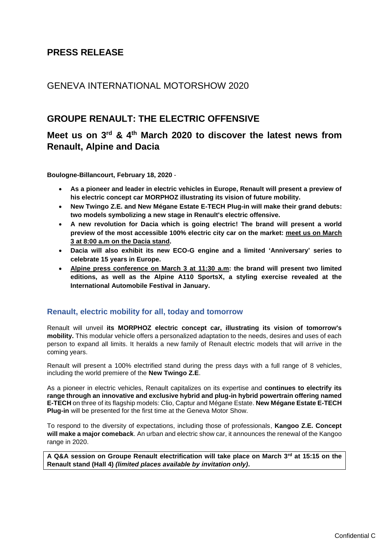# **PRESS RELEASE**

### GENEVA INTERNATIONAL MOTORSHOW 2020

## **GROUPE RENAULT: THE ELECTRIC OFFENSIVE**

## **Meet us on 3 rd & 4th March 2020 to discover the latest news from Renault, Alpine and Dacia**

**Boulogne-Billancourt, February 18, 2020** -

- **As a pioneer and leader in electric vehicles in Europe, Renault will present a preview of his electric concept car MORPHOZ illustrating its vision of future mobility.**
- **New Twingo Z.E. and New Mégane Estate E-TECH Plug-in will make their grand debuts: two models symbolizing a new stage in Renault's electric offensive.**
- **A new revolution for Dacia which is going electric! The brand will present a world preview of the most accessible 100% electric city car on the market: meet us on March 3 at 8:00 a.m on the Dacia stand.**
- **Dacia will also exhibit its new ECO-G engine and a limited 'Anniversary' series to celebrate 15 years in Europe.**
- **Alpine press conference on March 3 at 11:30 a.m: the brand will present two limited editions, as well as the Alpine A110 SportsX, a styling exercise revealed at the International Automobile Festival in January.**

### **Renault, electric mobility for all, today and tomorrow**

Renault will unveil **its MORPHOZ electric concept car, illustrating its vision of tomorrow's mobility.** This modular vehicle offers a personalized adaptation to the needs, desires and uses of each person to expand all limits. It heralds a new family of Renault electric models that will arrive in the coming years.

Renault will present a 100% electrified stand during the press days with a full range of 8 vehicles, including the world premiere of the **New Twingo Z.E**.

As a pioneer in electric vehicles, Renault capitalizes on its expertise and **continues to electrify its range through an innovative and exclusive hybrid and plug-in hybrid powertrain offering named E-TECH** on three of its flagship models: Clio, Captur and Mégane Estate. **New Mégane Estate E-TECH Plug-in** will be presented for the first time at the Geneva Motor Show.

To respond to the diversity of expectations, including those of professionals, **Kangoo Z.E. Concept will make a major comeback**. An urban and electric show car, it announces the renewal of the Kangoo range in 2020.

**A Q&A session on Groupe Renault electrification will take place on March 3rd at 15:15 on the Renault stand (Hall 4)** *(limited places available by invitation only)***.**